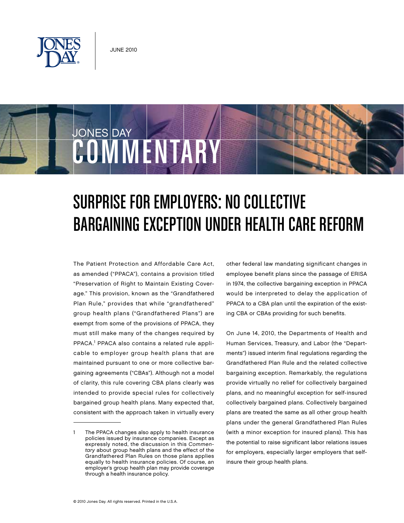

COWMMENTAR

**JONES DAY** 



The Patient Protection and Affordable Care Act, as amended ("PPACA"), contains a provision titled "Preservation of Right to Maintain Existing Coverage." This provision, known as the "Grandfathered Plan Rule," provides that while "grandfathered" group health plans ("Grandfathered Plans") are exempt from some of the provisions of PPACA, they must still make many of the changes required by PPACA.<sup>1</sup> PPACA also contains a related rule applicable to employer group health plans that are maintained pursuant to one or more collective bargaining agreements ("CBAs"). Although not a model of clarity, this rule covering CBA plans clearly was intended to provide special rules for collectively bargained group health plans. Many expected that, consistent with the approach taken in virtually every

other federal law mandating significant changes in employee benefit plans since the passage of ERISA in 1974, the collective bargaining exception in PPACA would be interpreted to delay the application of PPACA to a CBA plan until the expiration of the existing CBA or CBAs providing for such benefits.

On June 14, 2010, the Departments of Health and Human Services, Treasury, and Labor (the "Departments") issued interim final regulations regarding the Grandfathered Plan Rule and the related collective bargaining exception. Remarkably, the regulations provide virtually no relief for collectively bargained plans, and no meaningful exception for self-insured collectively bargained plans. Collectively bargained plans are treated the same as all other group health plans under the general Grandfathered Plan Rules (with a minor exception for insured plans). This has the potential to raise significant labor relations issues for employers, especially larger employers that selfinsure their group health plans.

The PPACA changes also apply to health insurance policies issued by insurance companies. Except as expressly noted, the discussion in this Commentary about group health plans and the effect of the Grandfathered Plan Rules on those plans applies equally to health insurance policies. Of course, an employer's group health plan may provide coverage through a health insurance policy.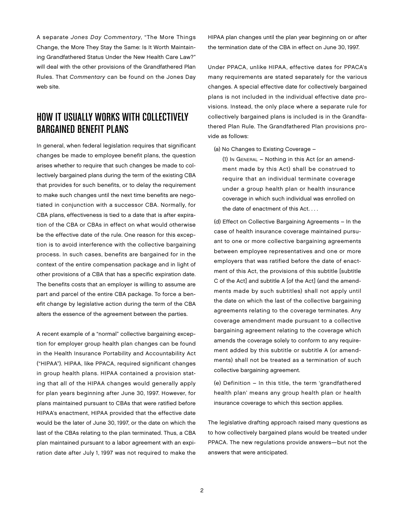A separate Jones Day Commentary, "The More Things Change, the More They Stay the Same: Is It Worth Maintaining Grandfathered Status Under the New Health Care Law?" will deal with the other provisions of the Grandfathered Plan Rules. That Commentary can be found on the Jones Day web site.

### How It Usually Works With Collectively Bargained Benefit Plans

In general, when federal legislation requires that significant changes be made to employee benefit plans, the question arises whether to require that such changes be made to collectively bargained plans during the term of the existing CBA that provides for such benefits, or to delay the requirement to make such changes until the next time benefits are negotiated in conjunction with a successor CBA. Normally, for CBA plans, effectiveness is tied to a date that is after expiration of the CBA or CBAs in effect on what would otherwise be the effective date of the rule. One reason for this exception is to avoid interference with the collective bargaining process. In such cases, benefits are bargained for in the context of the entire compensation package and in light of other provisions of a CBA that has a specific expiration date. The benefits costs that an employer is willing to assume are part and parcel of the entire CBA package. To force a benefit change by legislative action during the term of the CBA alters the essence of the agreement between the parties.

A recent example of a "normal" collective bargaining exception for employer group health plan changes can be found in the Health Insurance Portability and Accountability Act ("HIPAA"). HIPAA, like PPACA, required significant changes in group health plans. HIPAA contained a provision stating that all of the HIPAA changes would generally apply for plan years beginning after June 30, 1997. However, for plans maintained pursuant to CBAs that were ratified before HIPAA's enactment, HIPAA provided that the effective date would be the later of June 30, 1997, or the date on which the last of the CBAs relating to the plan terminated. Thus, a CBA plan maintained pursuant to a labor agreement with an expiration date after July 1, 1997 was not required to make the

HIPAA plan changes until the plan year beginning on or after the termination date of the CBA in effect on June 30, 1997.

Under PPACA, unlike HIPAA, effective dates for PPACA's many requirements are stated separately for the various changes. A special effective date for collectively bargained plans is not included in the individual effective date provisions. Instead, the only place where a separate rule for collectively bargained plans is included is in the Grandfathered Plan Rule. The Grandfathered Plan provisions provide as follows:

(a) No Changes to Existing Coverage –

(1) In General – Nothing in this Act (or an amendment made by this Act) shall be construed to require that an individual terminate coverage under a group health plan or health insurance coverage in which such individual was enrolled on the date of enactment of this Act. . . .

(d) Effect on Collective Bargaining Agreements – In the case of health insurance coverage maintained pursuant to one or more collective bargaining agreements between employee representatives and one or more employers that was ratified before the date of enactment of this Act, the provisions of this subtitle [subtitle C of the Act] and subtitle A [of the Act] (and the amendments made by such subtitles) shall not apply until the date on which the last of the collective bargaining agreements relating to the coverage terminates. Any coverage amendment made pursuant to a collective bargaining agreement relating to the coverage which amends the coverage solely to conform to any requirement added by this subtitle or subtitle A (or amendments) shall not be treated as a termination of such collective bargaining agreement.

(e) Definition – In this title, the term 'grandfathered health plan' means any group health plan or health insurance coverage to which this section applies.

The legislative drafting approach raised many questions as to how collectively bargained plans would be treated under PPACA. The new regulations provide answers—but not the answers that were anticipated.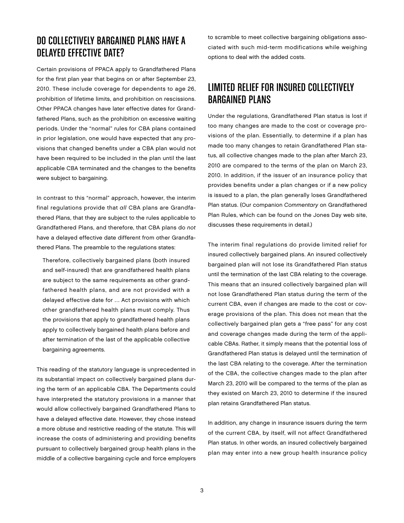#### Do Collectively Bargained Plans Have a Delayed Effective Date?

Certain provisions of PPACA apply to Grandfathered Plans for the first plan year that begins on or after September 23, 2010. These include coverage for dependents to age 26, prohibition of lifetime limits, and prohibition on rescissions. Other PPACA changes have later effective dates for Grandfathered Plans, such as the prohibition on excessive waiting periods. Under the "normal" rules for CBA plans contained in prior legislation, one would have expected that any provisions that changed benefits under a CBA plan would not have been required to be included in the plan until the last applicable CBA terminated and the changes to the benefits were subject to bargaining.

In contrast to this "normal" approach, however, the interim final regulations provide that all CBA plans are Grandfathered Plans, that they are subject to the rules applicable to Grandfathered Plans, and therefore, that CBA plans do not have a delayed effective date different from other Grandfathered Plans. The preamble to the regulations states:

Therefore, collectively bargained plans (both insured and self-insured) that are grandfathered health plans are subject to the same requirements as other grandfathered health plans, and are not provided with a delayed effective date for … Act provisions with which other grandfathered health plans must comply. Thus the provisions that apply to grandfathered health plans apply to collectively bargained health plans before and after termination of the last of the applicable collective bargaining agreements.

This reading of the statutory language is unprecedented in its substantial impact on collectively bargained plans during the term of an applicable CBA. The Departments could have interpreted the statutory provisions in a manner that would allow collectively bargained Grandfathered Plans to have a delayed effective date. However, they chose instead a more obtuse and restrictive reading of the statute. This will increase the costs of administering and providing benefits pursuant to collectively bargained group health plans in the middle of a collective bargaining cycle and force employers

to scramble to meet collective bargaining obligations associated with such mid-term modifications while weighing options to deal with the added costs.

# Limited Relief for Insured Collectively Bargained Plans

Under the regulations, Grandfathered Plan status is lost if too many changes are made to the cost or coverage provisions of the plan. Essentially, to determine if a plan has made too many changes to retain Grandfathered Plan status, all collective changes made to the plan after March 23, 2010 are compared to the terms of the plan on March 23, 2010. In addition, if the issuer of an insurance policy that provides benefits under a plan changes or if a new policy is issued to a plan, the plan generally loses Grandfathered Plan status. (Our companion Commentary on Grandfathered Plan Rules, which can be found on the Jones Day web site, discusses these requirements in detail.)

The interim final regulations do provide limited relief for insured collectively bargained plans. An insured collectively bargained plan will not lose its Grandfathered Plan status until the termination of the last CBA relating to the coverage. This means that an insured collectively bargained plan will not lose Grandfathered Plan status during the term of the current CBA, even if changes are made to the cost or coverage provisions of the plan. This does not mean that the collectively bargained plan gets a "free pass" for any cost and coverage changes made during the term of the applicable CBAs. Rather, it simply means that the potential loss of Grandfathered Plan status is delayed until the termination of the last CBA relating to the coverage. After the termination of the CBA, the collective changes made to the plan after March 23, 2010 will be compared to the terms of the plan as they existed on March 23, 2010 to determine if the insured plan retains Grandfathered Plan status.

In addition, any change in insurance issuers during the term of the current CBA, by itself, will not affect Grandfathered Plan status. In other words, an insured collectively bargained plan may enter into a new group health insurance policy